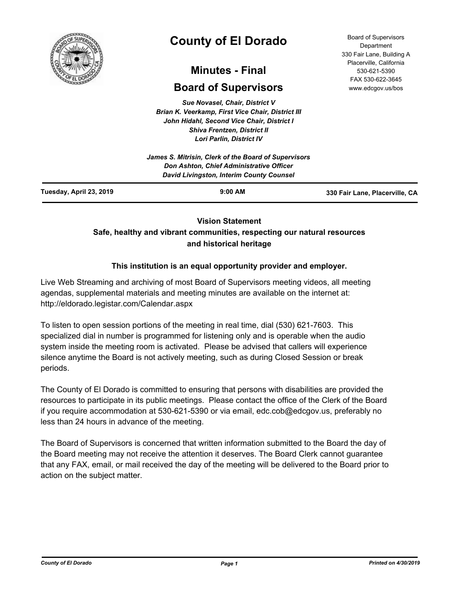

# **County of El Dorado**

## **Minutes - Final**

## **Board of Supervisors**

*Sue Novasel, Chair, District V Brian K. Veerkamp, First Vice Chair, District III John Hidahl, Second Vice Chair, District I Shiva Frentzen, District II Lori Parlin, District IV*

**Vision Statement** 

## **Safe, healthy and vibrant communities, respecting our natural resources and historical heritage**

## **This institution is an equal opportunity provider and employer.**

Live Web Streaming and archiving of most Board of Supervisors meeting videos, all meeting agendas, supplemental materials and meeting minutes are available on the internet at: http://eldorado.legistar.com/Calendar.aspx

To listen to open session portions of the meeting in real time, dial (530) 621-7603. This specialized dial in number is programmed for listening only and is operable when the audio system inside the meeting room is activated. Please be advised that callers will experience silence anytime the Board is not actively meeting, such as during Closed Session or break periods.

The County of El Dorado is committed to ensuring that persons with disabilities are provided the resources to participate in its public meetings. Please contact the office of the Clerk of the Board if you require accommodation at 530-621-5390 or via email, edc.cob@edcgov.us, preferably no less than 24 hours in advance of the meeting.

The Board of Supervisors is concerned that written information submitted to the Board the day of the Board meeting may not receive the attention it deserves. The Board Clerk cannot guarantee that any FAX, email, or mail received the day of the meeting will be delivered to the Board prior to action on the subject matter.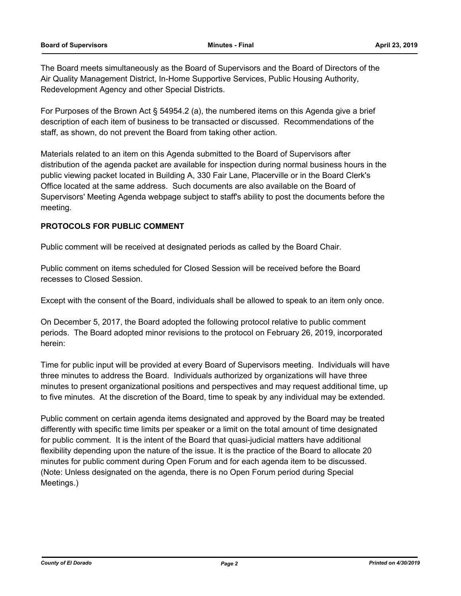The Board meets simultaneously as the Board of Supervisors and the Board of Directors of the Air Quality Management District, In-Home Supportive Services, Public Housing Authority, Redevelopment Agency and other Special Districts.

For Purposes of the Brown Act § 54954.2 (a), the numbered items on this Agenda give a brief description of each item of business to be transacted or discussed. Recommendations of the staff, as shown, do not prevent the Board from taking other action.

Materials related to an item on this Agenda submitted to the Board of Supervisors after distribution of the agenda packet are available for inspection during normal business hours in the public viewing packet located in Building A, 330 Fair Lane, Placerville or in the Board Clerk's Office located at the same address. Such documents are also available on the Board of Supervisors' Meeting Agenda webpage subject to staff's ability to post the documents before the meeting.

#### **PROTOCOLS FOR PUBLIC COMMENT**

Public comment will be received at designated periods as called by the Board Chair.

Public comment on items scheduled for Closed Session will be received before the Board recesses to Closed Session.

Except with the consent of the Board, individuals shall be allowed to speak to an item only once.

On December 5, 2017, the Board adopted the following protocol relative to public comment periods. The Board adopted minor revisions to the protocol on February 26, 2019, incorporated herein:

Time for public input will be provided at every Board of Supervisors meeting. Individuals will have three minutes to address the Board. Individuals authorized by organizations will have three minutes to present organizational positions and perspectives and may request additional time, up to five minutes. At the discretion of the Board, time to speak by any individual may be extended.

Public comment on certain agenda items designated and approved by the Board may be treated differently with specific time limits per speaker or a limit on the total amount of time designated for public comment. It is the intent of the Board that quasi-judicial matters have additional flexibility depending upon the nature of the issue. It is the practice of the Board to allocate 20 minutes for public comment during Open Forum and for each agenda item to be discussed. (Note: Unless designated on the agenda, there is no Open Forum period during Special Meetings.)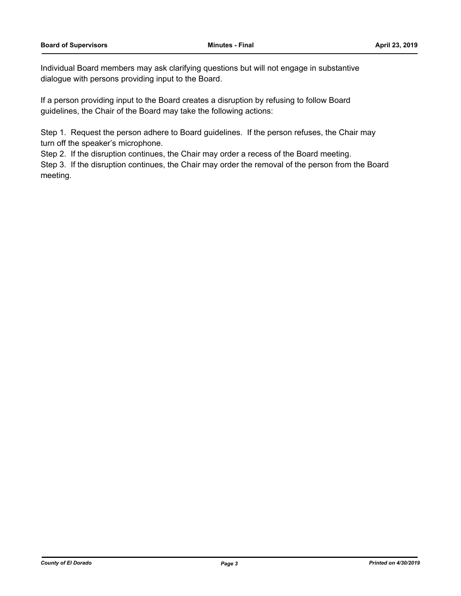Individual Board members may ask clarifying questions but will not engage in substantive dialogue with persons providing input to the Board.

If a person providing input to the Board creates a disruption by refusing to follow Board guidelines, the Chair of the Board may take the following actions:

Step 1. Request the person adhere to Board guidelines. If the person refuses, the Chair may turn off the speaker's microphone.

Step 2. If the disruption continues, the Chair may order a recess of the Board meeting.

Step 3. If the disruption continues, the Chair may order the removal of the person from the Board meeting.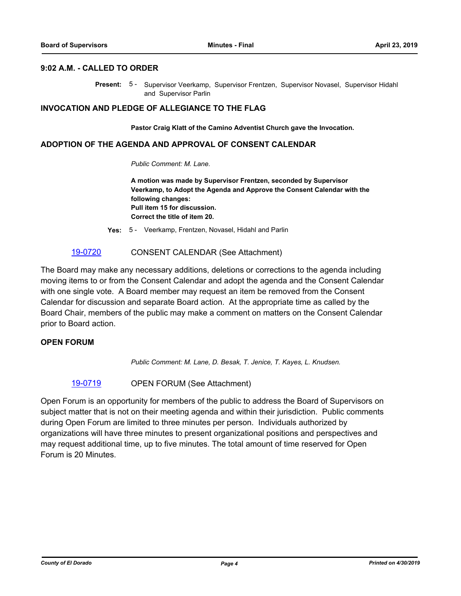#### **9:02 A.M. - CALLED TO ORDER**

Present: 5 - Supervisor Veerkamp, Supervisor Frentzen, Supervisor Novasel, Supervisor Hidahl and Supervisor Parlin

#### **INVOCATION AND PLEDGE OF ALLEGIANCE TO THE FLAG**

**Pastor Craig Klatt of the Camino Adventist Church gave the Invocation.**

#### **ADOPTION OF THE AGENDA AND APPROVAL OF CONSENT CALENDAR**

*Public Comment: M. Lane.*

**A motion was made by Supervisor Frentzen, seconded by Supervisor Veerkamp, to Adopt the Agenda and Approve the Consent Calendar with the following changes: Pull item 15 for discussion. Correct the title of item 20.**

**Yes:** 5 - Veerkamp, Frentzen, Novasel, Hidahl and Parlin

#### [19-0720](http://eldorado.legistar.com/gateway.aspx?m=l&id=/matter.aspx?key=26042) CONSENT CALENDAR (See Attachment)

The Board may make any necessary additions, deletions or corrections to the agenda including moving items to or from the Consent Calendar and adopt the agenda and the Consent Calendar with one single vote. A Board member may request an item be removed from the Consent Calendar for discussion and separate Board action. At the appropriate time as called by the Board Chair, members of the public may make a comment on matters on the Consent Calendar prior to Board action.

#### **OPEN FORUM**

*Public Comment: M. Lane, D. Besak, T. Jenice, T. Kayes, L. Knudsen.*

[19-0719](http://eldorado.legistar.com/gateway.aspx?m=l&id=/matter.aspx?key=26041) OPEN FORUM (See Attachment)

Open Forum is an opportunity for members of the public to address the Board of Supervisors on subject matter that is not on their meeting agenda and within their jurisdiction. Public comments during Open Forum are limited to three minutes per person. Individuals authorized by organizations will have three minutes to present organizational positions and perspectives and may request additional time, up to five minutes. The total amount of time reserved for Open Forum is 20 Minutes.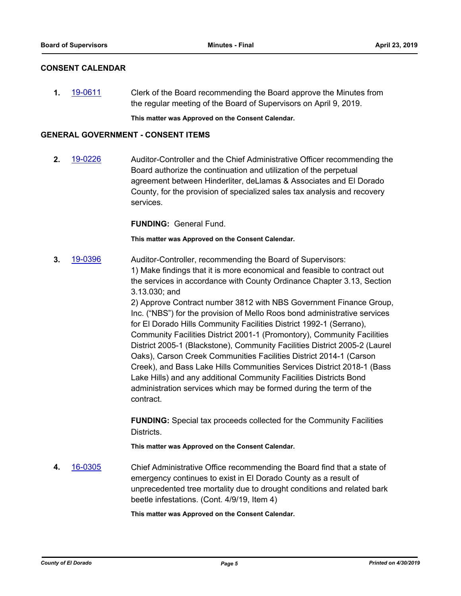#### **CONSENT CALENDAR**

**1.** [19-0611](http://eldorado.legistar.com/gateway.aspx?m=l&id=/matter.aspx?key=25932) Clerk of the Board recommending the Board approve the Minutes from the regular meeting of the Board of Supervisors on April 9, 2019.

**This matter was Approved on the Consent Calendar.**

#### **GENERAL GOVERNMENT - CONSENT ITEMS**

**2.** [19-0226](http://eldorado.legistar.com/gateway.aspx?m=l&id=/matter.aspx?key=25546) Auditor-Controller and the Chief Administrative Officer recommending the Board authorize the continuation and utilization of the perpetual agreement between Hinderliter, deLlamas & Associates and El Dorado County, for the provision of specialized sales tax analysis and recovery services.

**FUNDING:** General Fund.

**This matter was Approved on the Consent Calendar.**

**3.** [19-0396](http://eldorado.legistar.com/gateway.aspx?m=l&id=/matter.aspx?key=25717) Auditor-Controller, recommending the Board of Supervisors: 1) Make findings that it is more economical and feasible to contract out the services in accordance with County Ordinance Chapter 3.13, Section 3.13.030; and 2) Approve Contract number 3812 with NBS Government Finance Group, Inc. ("NBS") for the provision of Mello Roos bond administrative services for El Dorado Hills Community Facilities District 1992-1 (Serrano), Community Facilities District 2001-1 (Promontory), Community Facilities District 2005-1 (Blackstone), Community Facilities District 2005-2 (Laurel Oaks), Carson Creek Communities Facilities District 2014-1 (Carson Creek), and Bass Lake Hills Communities Services District 2018-1 (Bass Lake Hills) and any additional Community Facilities Districts Bond administration services which may be formed during the term of the contract.

> **FUNDING:** Special tax proceeds collected for the Community Facilities Districts.

**This matter was Approved on the Consent Calendar.**

**4.** [16-0305](http://eldorado.legistar.com/gateway.aspx?m=l&id=/matter.aspx?key=20961) Chief Administrative Office recommending the Board find that a state of emergency continues to exist in El Dorado County as a result of unprecedented tree mortality due to drought conditions and related bark beetle infestations. (Cont. 4/9/19, Item 4)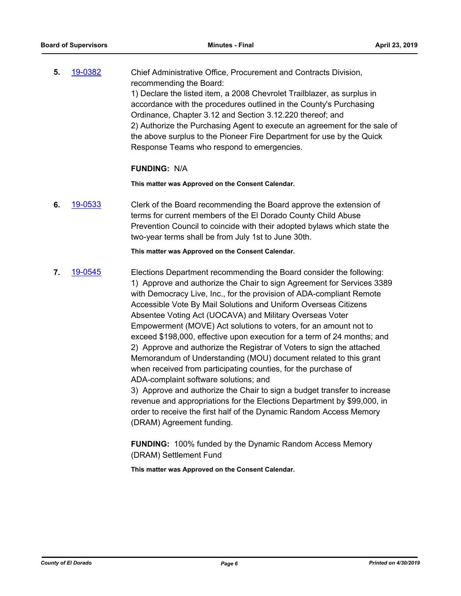**5.** [19-0382](http://eldorado.legistar.com/gateway.aspx?m=l&id=/matter.aspx?key=25703) Chief Administrative Office, Procurement and Contracts Division, recommending the Board: 1) Declare the listed item, a 2008 Chevrolet Trailblazer, as surplus in accordance with the procedures outlined in the County's Purchasing Ordinance, Chapter 3.12 and Section 3.12.220 thereof; and 2) Authorize the Purchasing Agent to execute an agreement for the sale of the above surplus to the Pioneer Fire Department for use by the Quick Response Teams who respond to emergencies.

#### **FUNDING:** N/A

**This matter was Approved on the Consent Calendar.**

**6.** [19-0533](http://eldorado.legistar.com/gateway.aspx?m=l&id=/matter.aspx?key=25854) Clerk of the Board recommending the Board approve the extension of terms for current members of the El Dorado County Child Abuse Prevention Council to coincide with their adopted bylaws which state the two-year terms shall be from July 1st to June 30th.

**This matter was Approved on the Consent Calendar.**

**7.** [19-0545](http://eldorado.legistar.com/gateway.aspx?m=l&id=/matter.aspx?key=25866) Elections Department recommending the Board consider the following: 1) Approve and authorize the Chair to sign Agreement for Services 3389 with Democracy Live, Inc., for the provision of ADA-compliant Remote Accessible Vote By Mail Solutions and Uniform Overseas Citizens Absentee Voting Act (UOCAVA) and Military Overseas Voter Empowerment (MOVE) Act solutions to voters, for an amount not to exceed \$198,000, effective upon execution for a term of 24 months; and 2) Approve and authorize the Registrar of Voters to sign the attached Memorandum of Understanding (MOU) document related to this grant when received from participating counties, for the purchase of ADA-complaint software solutions; and

3) Approve and authorize the Chair to sign a budget transfer to increase revenue and appropriations for the Elections Department by \$99,000, in order to receive the first half of the Dynamic Random Access Memory (DRAM) Agreement funding.

**FUNDING:** 100% funded by the Dynamic Random Access Memory (DRAM) Settlement Fund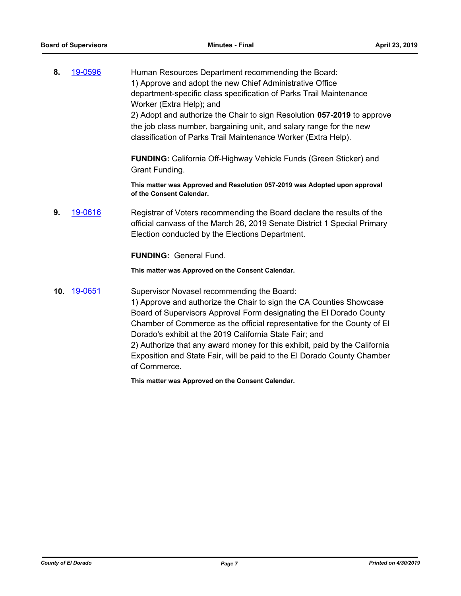**8.** [19-0596](http://eldorado.legistar.com/gateway.aspx?m=l&id=/matter.aspx?key=25917) Human Resources Department recommending the Board: 1) Approve and adopt the new Chief Administrative Office department-specific class specification of Parks Trail Maintenance Worker (Extra Help); and 2) Adopt and authorize the Chair to sign Resolution **057-2019** to approve the job class number, bargaining unit, and salary range for the new classification of Parks Trail Maintenance Worker (Extra Help).

> **FUNDING:** California Off-Highway Vehicle Funds (Green Sticker) and Grant Funding.

**This matter was Approved and Resolution 057-2019 was Adopted upon approval of the Consent Calendar.**

**9.** [19-0616](http://eldorado.legistar.com/gateway.aspx?m=l&id=/matter.aspx?key=25937) Registrar of Voters recommending the Board declare the results of the official canvass of the March 26, 2019 Senate District 1 Special Primary Election conducted by the Elections Department.

**FUNDING:** General Fund.

**This matter was Approved on the Consent Calendar.**

**10.** [19-0651](http://eldorado.legistar.com/gateway.aspx?m=l&id=/matter.aspx?key=25973) Supervisor Novasel recommending the Board: 1) Approve and authorize the Chair to sign the CA Counties Showcase Board of Supervisors Approval Form designating the El Dorado County Chamber of Commerce as the official representative for the County of El Dorado's exhibit at the 2019 California State Fair; and 2) Authorize that any award money for this exhibit, paid by the California Exposition and State Fair, will be paid to the El Dorado County Chamber of Commerce.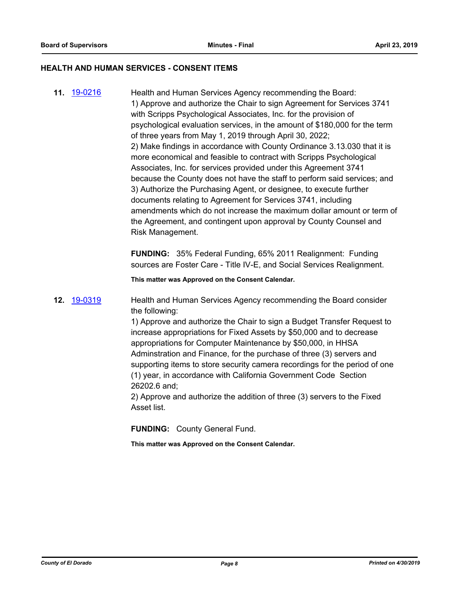#### **HEALTH AND HUMAN SERVICES - CONSENT ITEMS**

**11.** [19-0216](http://eldorado.legistar.com/gateway.aspx?m=l&id=/matter.aspx?key=25536) Health and Human Services Agency recommending the Board: 1) Approve and authorize the Chair to sign Agreement for Services 3741 with Scripps Psychological Associates, Inc. for the provision of psychological evaluation services, in the amount of \$180,000 for the term of three years from May 1, 2019 through April 30, 2022; 2) Make findings in accordance with County Ordinance 3.13.030 that it is more economical and feasible to contract with Scripps Psychological Associates, Inc. for services provided under this Agreement 3741 because the County does not have the staff to perform said services; and 3) Authorize the Purchasing Agent, or designee, to execute further documents relating to Agreement for Services 3741, including amendments which do not increase the maximum dollar amount or term of the Agreement, and contingent upon approval by County Counsel and Risk Management.

> **FUNDING:** 35% Federal Funding, 65% 2011 Realignment: Funding sources are Foster Care - Title IV-E, and Social Services Realignment.

**This matter was Approved on the Consent Calendar.**

**12.** [19-0319](http://eldorado.legistar.com/gateway.aspx?m=l&id=/matter.aspx?key=25640) Health and Human Services Agency recommending the Board consider the following:

> 1) Approve and authorize the Chair to sign a Budget Transfer Request to increase appropriations for Fixed Assets by \$50,000 and to decrease appropriations for Computer Maintenance by \$50,000, in HHSA Adminstration and Finance, for the purchase of three (3) servers and supporting items to store security camera recordings for the period of one (1) year, in accordance with California Government Code Section 26202.6 and;

2) Approve and authorize the addition of three (3) servers to the Fixed Asset list.

**FUNDING:** County General Fund.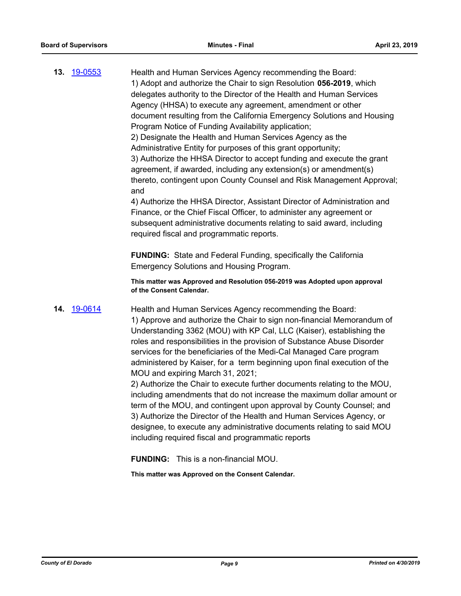| <b>13. 19-0553</b> | Health and Human Services Agency recommending the Board:<br>1) Adopt and authorize the Chair to sign Resolution 056-2019, which<br>delegates authority to the Director of the Health and Human Services<br>Agency (HHSA) to execute any agreement, amendment or other<br>document resulting from the California Emergency Solutions and Housing<br>Program Notice of Funding Availability application;<br>2) Designate the Health and Human Services Agency as the<br>Administrative Entity for purposes of this grant opportunity;<br>3) Authorize the HHSA Director to accept funding and execute the grant<br>agreement, if awarded, including any extension(s) or amendment(s)<br>thereto, contingent upon County Counsel and Risk Management Approval;<br>and<br>4) Authorize the HHSA Director, Assistant Director of Administration and<br>Finance, or the Chief Fiscal Officer, to administer any agreement or<br>subsequent administrative documents relating to said award, including<br>required fiscal and programmatic reports. |
|--------------------|----------------------------------------------------------------------------------------------------------------------------------------------------------------------------------------------------------------------------------------------------------------------------------------------------------------------------------------------------------------------------------------------------------------------------------------------------------------------------------------------------------------------------------------------------------------------------------------------------------------------------------------------------------------------------------------------------------------------------------------------------------------------------------------------------------------------------------------------------------------------------------------------------------------------------------------------------------------------------------------------------------------------------------------------|
|                    | <b>FUNDING:</b> State and Federal Funding, specifically the California<br><b>Emergency Solutions and Housing Program.</b>                                                                                                                                                                                                                                                                                                                                                                                                                                                                                                                                                                                                                                                                                                                                                                                                                                                                                                                    |
|                    | This matter was Approved and Resolution 056-2019 was Adopted upon approval<br>of the Consent Calendar.                                                                                                                                                                                                                                                                                                                                                                                                                                                                                                                                                                                                                                                                                                                                                                                                                                                                                                                                       |
| 14. 19-0614        | Health and Human Services Agency recommending the Board:<br>1) Approve and authorize the Chair to sign non-financial Memorandum of<br>Understanding 3362 (MOU) with KP Cal, LLC (Kaiser), establishing the<br>roles and responsibilities in the provision of Substance Abuse Disorder                                                                                                                                                                                                                                                                                                                                                                                                                                                                                                                                                                                                                                                                                                                                                        |

administered by Kaiser, for a term beginning upon final execution of the MOU and expiring March 31, 2021; 2) Authorize the Chair to execute further documents relating to the MOU, including amendments that do not increase the maximum dollar amount or

services for the beneficiaries of the Medi-Cal Managed Care program

term of the MOU, and contingent upon approval by County Counsel; and 3) Authorize the Director of the Health and Human Services Agency, or designee, to execute any administrative documents relating to said MOU including required fiscal and programmatic reports

**FUNDING:** This is a non-financial MOU.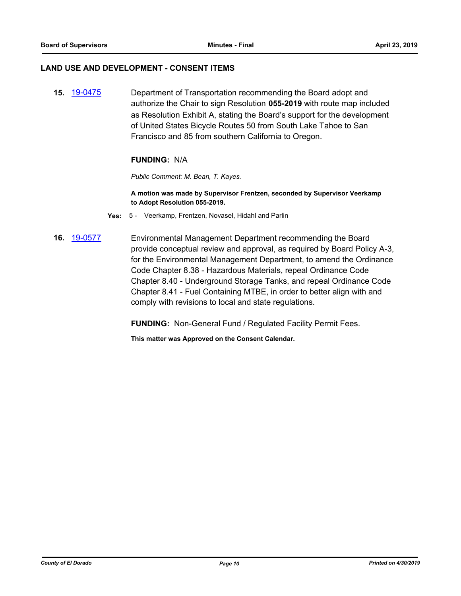#### **LAND USE AND DEVELOPMENT - CONSENT ITEMS**

**15.** [19-0475](http://eldorado.legistar.com/gateway.aspx?m=l&id=/matter.aspx?key=25796) Department of Transportation recommending the Board adopt and authorize the Chair to sign Resolution **055-2019** with route map included as Resolution Exhibit A, stating the Board's support for the development of United States Bicycle Routes 50 from South Lake Tahoe to San Francisco and 85 from southern California to Oregon.

#### **FUNDING:** N/A

*Public Comment: M. Bean, T. Kayes.*

**A motion was made by Supervisor Frentzen, seconded by Supervisor Veerkamp to Adopt Resolution 055-2019.**

- **Yes:** 5 Veerkamp, Frentzen, Novasel, Hidahl and Parlin
- **16.** [19-0577](http://eldorado.legistar.com/gateway.aspx?m=l&id=/matter.aspx?key=25898) Environmental Management Department recommending the Board provide conceptual review and approval, as required by Board Policy A-3, for the Environmental Management Department, to amend the Ordinance Code Chapter 8.38 - Hazardous Materials, repeal Ordinance Code Chapter 8.40 - Underground Storage Tanks, and repeal Ordinance Code Chapter 8.41 - Fuel Containing MTBE, in order to better align with and comply with revisions to local and state regulations.

**FUNDING:** Non-General Fund / Regulated Facility Permit Fees.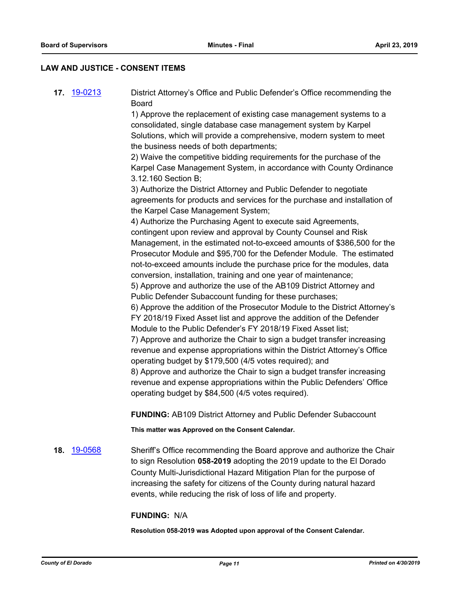#### **LAW AND JUSTICE - CONSENT ITEMS**

**17.** [19-0213](http://eldorado.legistar.com/gateway.aspx?m=l&id=/matter.aspx?key=25533) District Attorney's Office and Public Defender's Office recommending the Board

> 1) Approve the replacement of existing case management systems to a consolidated, single database case management system by Karpel Solutions, which will provide a comprehensive, modern system to meet the business needs of both departments;

2) Waive the competitive bidding requirements for the purchase of the Karpel Case Management System, in accordance with County Ordinance 3.12.160 Section B;

3) Authorize the District Attorney and Public Defender to negotiate agreements for products and services for the purchase and installation of the Karpel Case Management System;

4) Authorize the Purchasing Agent to execute said Agreements, contingent upon review and approval by County Counsel and Risk Management, in the estimated not-to-exceed amounts of \$386,500 for the Prosecutor Module and \$95,700 for the Defender Module. The estimated not-to-exceed amounts include the purchase price for the modules, data conversion, installation, training and one year of maintenance;

5) Approve and authorize the use of the AB109 District Attorney and Public Defender Subaccount funding for these purchases;

6) Approve the addition of the Prosecutor Module to the District Attorney's FY 2018/19 Fixed Asset list and approve the addition of the Defender Module to the Public Defender's FY 2018/19 Fixed Asset list;

7) Approve and authorize the Chair to sign a budget transfer increasing revenue and expense appropriations within the District Attorney's Office operating budget by \$179,500 (4/5 votes required); and

8) Approve and authorize the Chair to sign a budget transfer increasing revenue and expense appropriations within the Public Defenders' Office operating budget by \$84,500 (4/5 votes required).

**FUNDING:** AB109 District Attorney and Public Defender Subaccount

**This matter was Approved on the Consent Calendar.**

**18.** [19-0568](http://eldorado.legistar.com/gateway.aspx?m=l&id=/matter.aspx?key=25889) Sheriff's Office recommending the Board approve and authorize the Chair to sign Resolution **058-2019** adopting the 2019 update to the El Dorado County Multi-Jurisdictional Hazard Mitigation Plan for the purpose of increasing the safety for citizens of the County during natural hazard events, while reducing the risk of loss of life and property.

#### **FUNDING:** N/A

**Resolution 058-2019 was Adopted upon approval of the Consent Calendar.**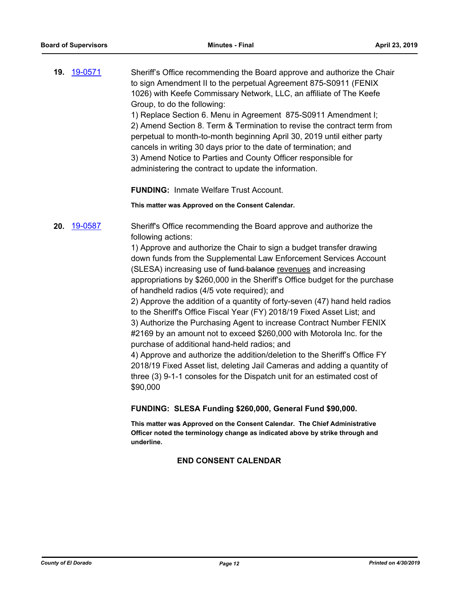**19.** [19-0571](http://eldorado.legistar.com/gateway.aspx?m=l&id=/matter.aspx?key=25892) Sheriff's Office recommending the Board approve and authorize the Chair to sign Amendment II to the perpetual Agreement 875-S0911 (FENIX 1026) with Keefe Commissary Network, LLC, an affiliate of The Keefe Group, to do the following:

1) Replace Section 6. Menu in Agreement 875-S0911 Amendment I; 2) Amend Section 8. Term & Termination to revise the contract term from perpetual to month-to-month beginning April 30, 2019 until either party cancels in writing 30 days prior to the date of termination; and 3) Amend Notice to Parties and County Officer responsible for administering the contract to update the information.

**FUNDING:** Inmate Welfare Trust Account.

**This matter was Approved on the Consent Calendar.**

**20.** [19-0587](http://eldorado.legistar.com/gateway.aspx?m=l&id=/matter.aspx?key=25908) Sheriff's Office recommending the Board approve and authorize the following actions:

> 1) Approve and authorize the Chair to sign a budget transfer drawing down funds from the Supplemental Law Enforcement Services Account (SLESA) increasing use of fund balance revenues and increasing appropriations by \$260,000 in the Sheriff's Office budget for the purchase of handheld radios (4/5 vote required); and

> 2) Approve the addition of a quantity of forty-seven (47) hand held radios to the Sheriff's Office Fiscal Year (FY) 2018/19 Fixed Asset List; and 3) Authorize the Purchasing Agent to increase Contract Number FENIX #2169 by an amount not to exceed \$260,000 with Motorola Inc. for the purchase of additional hand-held radios; and

4) Approve and authorize the addition/deletion to the Sheriff's Office FY 2018/19 Fixed Asset list, deleting Jail Cameras and adding a quantity of three (3) 9-1-1 consoles for the Dispatch unit for an estimated cost of \$90,000

**FUNDING: SLESA Funding \$260,000, General Fund \$90,000.**

**This matter was Approved on the Consent Calendar. The Chief Administrative Officer noted the terminology change as indicated above by strike through and underline.**

## **END CONSENT CALENDAR**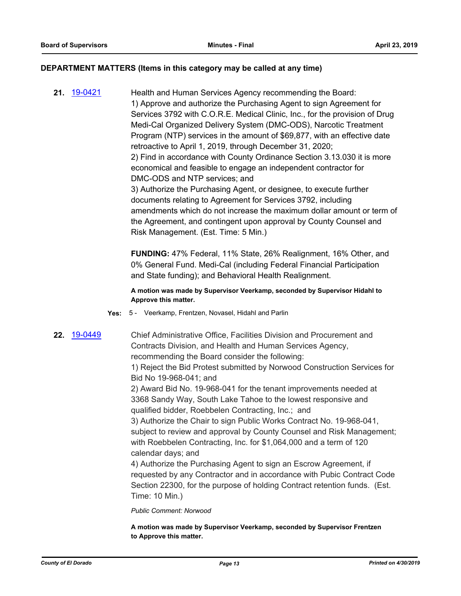#### **DEPARTMENT MATTERS (Items in this category may be called at any time)**

**21.** [19-0421](http://eldorado.legistar.com/gateway.aspx?m=l&id=/matter.aspx?key=25742) Health and Human Services Agency recommending the Board: 1) Approve and authorize the Purchasing Agent to sign Agreement for Services 3792 with C.O.R.E. Medical Clinic, Inc., for the provision of Drug Medi-Cal Organized Delivery System (DMC-ODS), Narcotic Treatment Program (NTP) services in the amount of \$69,877, with an effective date retroactive to April 1, 2019, through December 31, 2020; 2) Find in accordance with County Ordinance Section 3.13.030 it is more economical and feasible to engage an independent contractor for DMC-ODS and NTP services; and 3) Authorize the Purchasing Agent, or designee, to execute further documents relating to Agreement for Services 3792, including amendments which do not increase the maximum dollar amount or term of the Agreement, and contingent upon approval by County Counsel and Risk Management. (Est. Time: 5 Min.)

> **FUNDING:** 47% Federal, 11% State, 26% Realignment, 16% Other, and 0% General Fund. Medi-Cal (including Federal Financial Participation and State funding); and Behavioral Health Realignment.

**A motion was made by Supervisor Veerkamp, seconded by Supervisor Hidahl to Approve this matter.**

- **Yes:** 5 Veerkamp, Frentzen, Novasel, Hidahl and Parlin
- 

**22.** [19-0449](http://eldorado.legistar.com/gateway.aspx?m=l&id=/matter.aspx?key=25770) Chief Administrative Office, Facilities Division and Procurement and Contracts Division, and Health and Human Services Agency, recommending the Board consider the following:

> 1) Reject the Bid Protest submitted by Norwood Construction Services for Bid No 19-968-041; and

2) Award Bid No. 19-968-041 for the tenant improvements needed at 3368 Sandy Way, South Lake Tahoe to the lowest responsive and qualified bidder, Roebbelen Contracting, Inc.; and

3) Authorize the Chair to sign Public Works Contract No. 19-968-041, subject to review and approval by County Counsel and Risk Management; with Roebbelen Contracting, Inc. for \$1,064,000 and a term of 120 calendar days; and

4) Authorize the Purchasing Agent to sign an Escrow Agreement, if requested by any Contractor and in accordance with Pubic Contract Code Section 22300, for the purpose of holding Contract retention funds. (Est. Time: 10 Min.)

*Public Comment: Norwood*

**A motion was made by Supervisor Veerkamp, seconded by Supervisor Frentzen to Approve this matter.**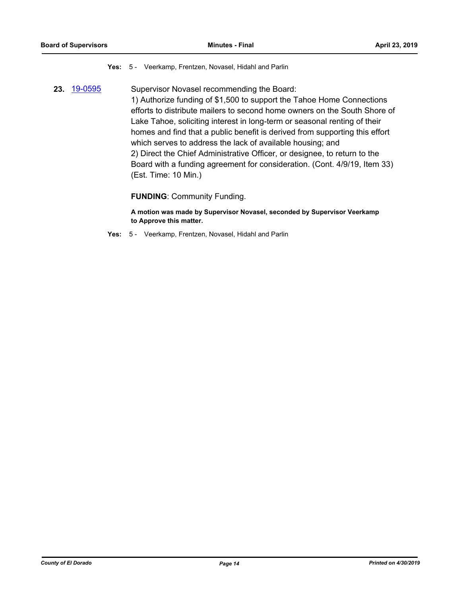#### **Yes:** 5 - Veerkamp, Frentzen, Novasel, Hidahl and Parlin

**23.** [19-0595](http://eldorado.legistar.com/gateway.aspx?m=l&id=/matter.aspx?key=25916) Supervisor Novasel recommending the Board: 1) Authorize funding of \$1,500 to support the Tahoe Home Connections efforts to distribute mailers to second home owners on the South Shore of Lake Tahoe, soliciting interest in long-term or seasonal renting of their homes and find that a public benefit is derived from supporting this effort which serves to address the lack of available housing; and 2) Direct the Chief Administrative Officer, or designee, to return to the Board with a funding agreement for consideration. (Cont. 4/9/19, Item 33) (Est. Time: 10 Min.)

**FUNDING**: Community Funding.

**A motion was made by Supervisor Novasel, seconded by Supervisor Veerkamp to Approve this matter.**

**Yes:** 5 - Veerkamp, Frentzen, Novasel, Hidahl and Parlin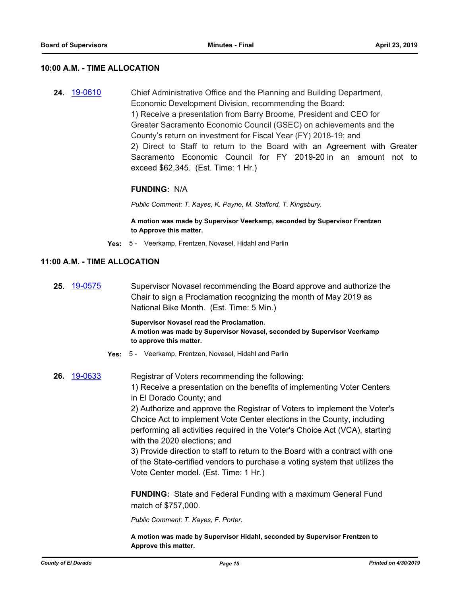#### **10:00 A.M. - TIME ALLOCATION**

**24.** [19-0610](http://eldorado.legistar.com/gateway.aspx?m=l&id=/matter.aspx?key=25931) Chief Administrative Office and the Planning and Building Department, Economic Development Division, recommending the Board: 1) Receive a presentation from Barry Broome, President and CEO for Greater Sacramento Economic Council (GSEC) on achievements and the County's return on investment for Fiscal Year (FY) 2018-19; and 2) Direct to Staff to return to the Board with an Agreement with Greater Sacramento Economic Council for FY 2019-20 in an amount not to exceed \$62,345. (Est. Time: 1 Hr.)

#### **FUNDING:** N/A

*Public Comment: T. Kayes, K. Payne, M. Stafford, T. Kingsbury.*

**A motion was made by Supervisor Veerkamp, seconded by Supervisor Frentzen to Approve this matter.**

**Yes:** 5 - Veerkamp, Frentzen, Novasel, Hidahl and Parlin

#### **11:00 A.M. - TIME ALLOCATION**

**25.** [19-0575](http://eldorado.legistar.com/gateway.aspx?m=l&id=/matter.aspx?key=25896) Supervisor Novasel recommending the Board approve and authorize the Chair to sign a Proclamation recognizing the month of May 2019 as National Bike Month. (Est. Time: 5 Min.)

> **Supervisor Novasel read the Proclamation. A motion was made by Supervisor Novasel, seconded by Supervisor Veerkamp to approve this matter.**

- **Yes:** 5 Veerkamp, Frentzen, Novasel, Hidahl and Parlin
- **26.** [19-0633](http://eldorado.legistar.com/gateway.aspx?m=l&id=/matter.aspx?key=25955) Registrar of Voters recommending the following:

1) Receive a presentation on the benefits of implementing Voter Centers in El Dorado County; and

2) Authorize and approve the Registrar of Voters to implement the Voter's Choice Act to implement Vote Center elections in the County, including performing all activities required in the Voter's Choice Act (VCA), starting with the 2020 elections; and

3) Provide direction to staff to return to the Board with a contract with one of the State-certified vendors to purchase a voting system that utilizes the Vote Center model. (Est. Time: 1 Hr.)

**FUNDING:** State and Federal Funding with a maximum General Fund match of \$757,000.

*Public Comment: T. Kayes, F. Porter.*

**A motion was made by Supervisor Hidahl, seconded by Supervisor Frentzen to Approve this matter.**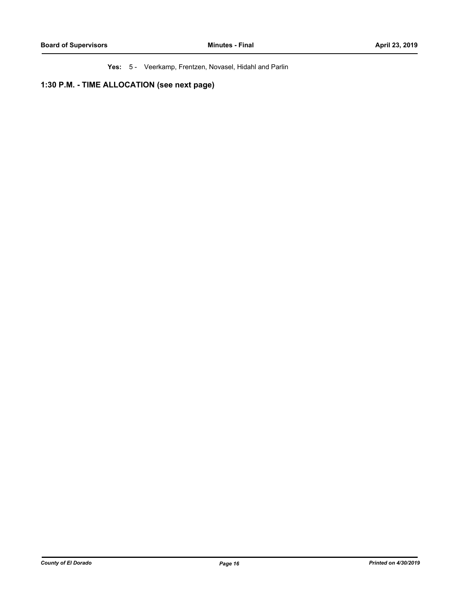**Yes:** 5 - Veerkamp, Frentzen, Novasel, Hidahl and Parlin

**1:30 P.M. - TIME ALLOCATION (see next page)**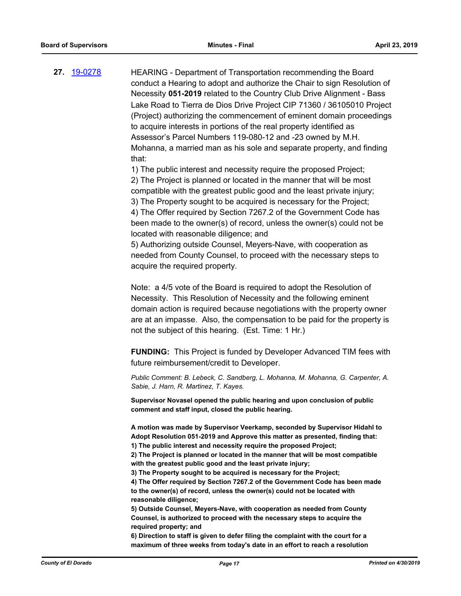**27.** [19-0278](http://eldorado.legistar.com/gateway.aspx?m=l&id=/matter.aspx?key=25600) HEARING - Department of Transportation recommending the Board conduct a Hearing to adopt and authorize the Chair to sign Resolution of Necessity **051-2019** related to the Country Club Drive Alignment - Bass Lake Road to Tierra de Dios Drive Project CIP 71360 / 36105010 Project (Project) authorizing the commencement of eminent domain proceedings to acquire interests in portions of the real property identified as Assessor's Parcel Numbers 119-080-12 and -23 owned by M.H. Mohanna, a married man as his sole and separate property, and finding that:

> 1) The public interest and necessity require the proposed Project; 2) The Project is planned or located in the manner that will be most compatible with the greatest public good and the least private injury; 3) The Property sought to be acquired is necessary for the Project; 4) The Offer required by Section 7267.2 of the Government Code has been made to the owner(s) of record, unless the owner(s) could not be located with reasonable diligence; and 5) Authorizing outside Counsel, Meyers-Nave, with cooperation as

needed from County Counsel, to proceed with the necessary steps to acquire the required property.

Note: a 4/5 vote of the Board is required to adopt the Resolution of Necessity. This Resolution of Necessity and the following eminent domain action is required because negotiations with the property owner are at an impasse. Also, the compensation to be paid for the property is not the subject of this hearing. (Est. Time: 1 Hr.)

**FUNDING:** This Project is funded by Developer Advanced TIM fees with future reimbursement/credit to Developer.

*Public Comment: B. Lebeck, C. Sandberg, L. Mohanna, M. Mohanna, G. Carpenter, A. Sabie, J. Harn, R. Martinez, T. Kayes.*

**Supervisor Novasel opened the public hearing and upon conclusion of public comment and staff input, closed the public hearing.**

**A motion was made by Supervisor Veerkamp, seconded by Supervisor Hidahl to Adopt Resolution 051-2019 and Approve this matter as presented, finding that: 1) The public interest and necessity require the proposed Project;**

**2) The Project is planned or located in the manner that will be most compatible with the greatest public good and the least private injury;**

**3) The Property sought to be acquired is necessary for the Project; 4) The Offer required by Section 7267.2 of the Government Code has been made to the owner(s) of record, unless the owner(s) could not be located with reasonable diligence;** 

**5) Outside Counsel, Meyers-Nave, with cooperation as needed from County Counsel, is authorized to proceed with the necessary steps to acquire the required property; and**

**6) Direction to staff is given to defer filing the complaint with the court for a maximum of three weeks from today's date in an effort to reach a resolution**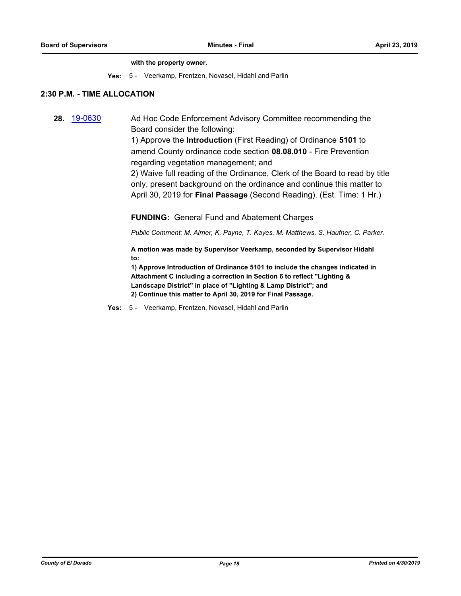#### **with the property owner.**

**Yes:** 5 - Veerkamp, Frentzen, Novasel, Hidahl and Parlin

#### **2:30 P.M. - TIME ALLOCATION**

**28.** [19-0630](http://eldorado.legistar.com/gateway.aspx?m=l&id=/matter.aspx?key=25952) Ad Hoc Code Enforcement Advisory Committee recommending the Board consider the following:

> 1) Approve the **Introduction** (First Reading) of Ordinance **5101** to amend County ordinance code section **08.08.010** - Fire Prevention regarding vegetation management; and

2) Waive full reading of the Ordinance, Clerk of the Board to read by title only, present background on the ordinance and continue this matter to April 30, 2019 for **Final Passage** (Second Reading). (Est. Time: 1 Hr.)

**FUNDING:** General Fund and Abatement Charges

*Public Comment: M. Almer, K. Payne, T. Kayes, M. Matthews, S. Haufner, C. Parker.*

**A motion was made by Supervisor Veerkamp, seconded by Supervisor Hidahl to:**

**1) Approve Introduction of Ordinance 5101 to include the changes indicated in Attachment C including a correction in Section 6 to reflect "Lighting & Landscape District" in place of "Lighting & Lamp District"; and 2) Continue this matter to April 30, 2019 for Final Passage.**

**Yes:** 5 - Veerkamp, Frentzen, Novasel, Hidahl and Parlin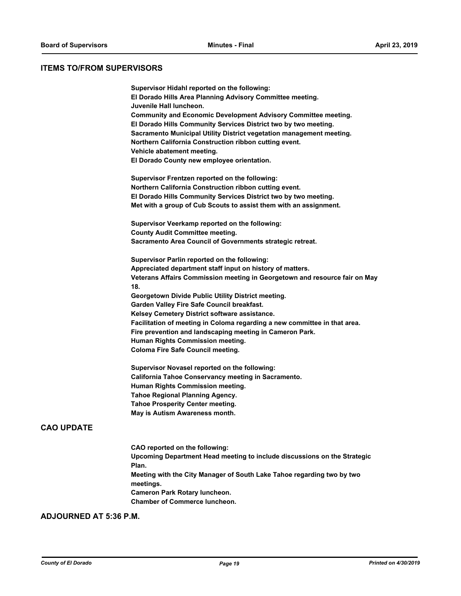#### **ITEMS TO/FROM SUPERVISORS**

|     | Supervisor Hidahl reported on the following:                               |
|-----|----------------------------------------------------------------------------|
|     | El Dorado Hills Area Planning Advisory Committee meeting.                  |
|     | Juvenile Hall luncheon.                                                    |
|     | <b>Community and Economic Development Advisory Committee meeting.</b>      |
|     | El Dorado Hills Community Services District two by two meeting.            |
|     | Sacramento Municipal Utility District vegetation management meeting.       |
|     | Northern California Construction ribbon cutting event.                     |
|     | Vehicle abatement meeting.                                                 |
|     | El Dorado County new employee orientation.                                 |
|     | Supervisor Frentzen reported on the following:                             |
|     | Northern California Construction ribbon cutting event.                     |
|     | El Dorado Hills Community Services District two by two meeting.            |
|     | Met with a group of Cub Scouts to assist them with an assignment.          |
|     | Supervisor Veerkamp reported on the following:                             |
|     | <b>County Audit Committee meeting.</b>                                     |
|     | Sacramento Area Council of Governments strategic retreat.                  |
|     | Supervisor Parlin reported on the following:                               |
|     | Appreciated department staff input on history of matters.                  |
| 18. | Veterans Affairs Commission meeting in Georgetown and resource fair on May |
|     | Georgetown Divide Public Utility District meeting.                         |
|     | Garden Valley Fire Safe Council breakfast.                                 |
|     | Kelsey Cemetery District software assistance.                              |
|     | Facilitation of meeting in Coloma regarding a new committee in that area.  |
|     | Fire prevention and landscaping meeting in Cameron Park.                   |
|     | Human Rights Commission meeting.                                           |
|     | <b>Coloma Fire Safe Council meeting.</b>                                   |
|     | Supervisor Novasel reported on the following:                              |
|     | California Tahoe Conservancy meeting in Sacramento.                        |
|     | Human Rights Commission meeting.                                           |
|     | <b>Tahoe Regional Planning Agency.</b>                                     |
|     | <b>Tahoe Prosperity Center meeting.</b>                                    |
|     | May is Autism Awareness month.                                             |

**CAO reported on the following: Upcoming Department Head meeting to include discussions on the Strategic Plan. Meeting with the City Manager of South Lake Tahoe regarding two by two meetings. Cameron Park Rotary luncheon. Chamber of Commerce luncheon.**

## **ADJOURNED AT 5:36 P.M.**

**CAO UPDATE**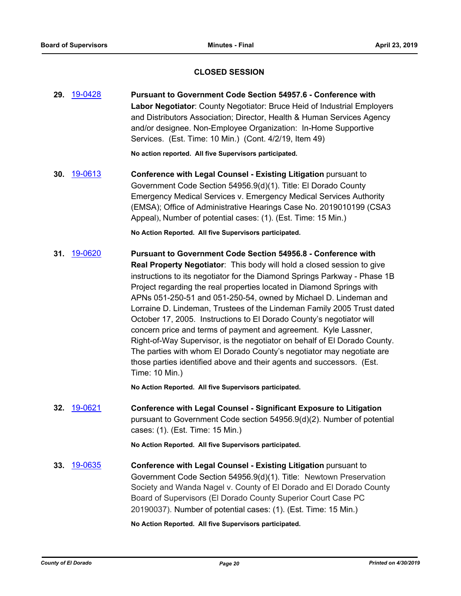#### **CLOSED SESSION**

**29.** [19-0428](http://eldorado.legistar.com/gateway.aspx?m=l&id=/matter.aspx?key=25749) **Pursuant to Government Code Section 54957.6 - Conference with Labor Negotiator**: County Negotiator: Bruce Heid of Industrial Employers and Distributors Association; Director, Health & Human Services Agency and/or designee. Non-Employee Organization: In-Home Supportive Services. (Est. Time: 10 Min.) (Cont. 4/2/19, Item 49)

**No action reported. All five Supervisors participated.**

**30.** [19-0613](http://eldorado.legistar.com/gateway.aspx?m=l&id=/matter.aspx?key=25934) **Conference with Legal Counsel - Existing Litigation** pursuant to Government Code Section 54956.9(d)(1). Title: El Dorado County Emergency Medical Services v. Emergency Medical Services Authority (EMSA); Office of Administrative Hearings Case No. 2019010199 (CSA3 Appeal), Number of potential cases: (1). (Est. Time: 15 Min.)

**No Action Reported. All five Supervisors participated.**

**31.** [19-0620](http://eldorado.legistar.com/gateway.aspx?m=l&id=/matter.aspx?key=25941) **Pursuant to Government Code Section 54956.8 - Conference with Real Property Negotiator**: This body will hold a closed session to give instructions to its negotiator for the Diamond Springs Parkway - Phase 1B Project regarding the real properties located in Diamond Springs with APNs 051-250-51 and 051-250-54, owned by Michael D. Lindeman and Lorraine D. Lindeman, Trustees of the Lindeman Family 2005 Trust dated October 17, 2005. Instructions to El Dorado County's negotiator will concern price and terms of payment and agreement. Kyle Lassner, Right-of-Way Supervisor, is the negotiator on behalf of El Dorado County. The parties with whom El Dorado County's negotiator may negotiate are those parties identified above and their agents and successors. (Est. Time: 10 Min.)

**No Action Reported. All five Supervisors participated.**

**32.** [19-0621](http://eldorado.legistar.com/gateway.aspx?m=l&id=/matter.aspx?key=25942) **Conference with Legal Counsel - Significant Exposure to Litigation** pursuant to Government Code section 54956.9(d)(2). Number of potential cases: (1). (Est. Time: 15 Min.)

**No Action Reported. All five Supervisors participated.**

**33.** [19-0635](http://eldorado.legistar.com/gateway.aspx?m=l&id=/matter.aspx?key=25957) **Conference with Legal Counsel - Existing Litigation** pursuant to Government Code Section 54956.9(d)(1). Title: Newtown Preservation Society and Wanda Nagel v. County of El Dorado and El Dorado County Board of Supervisors (El Dorado County Superior Court Case PC 20190037)*.* Number of potential cases: (1). (Est. Time: 15 Min.)

#### **No Action Reported. All five Supervisors participated.**